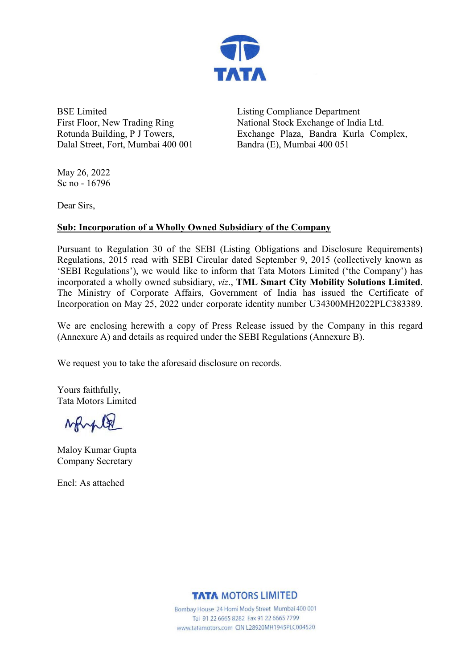

BSE Limited First Floor, New Trading Ring Rotunda Building, P J Towers, Dalal Street, Fort, Mumbai 400 001 Listing Compliance Department National Stock Exchange of India Ltd. Exchange Plaza, Bandra Kurla Complex, Bandra (E), Mumbai 400 051

May 26, 2022 Sc no - 16796

Dear Sirs,

### **Sub: Incorporation of a Wholly Owned Subsidiary of the Company**

Pursuant to Regulation 30 of the SEBI (Listing Obligations and Disclosure Requirements) Regulations, 2015 read with SEBI Circular dated September 9, 2015 (collectively known as 'SEBI Regulations'), we would like to inform that Tata Motors Limited ('the Company') has incorporated a wholly owned subsidiary, *viz*., **TML Smart City Mobility Solutions Limited**. The Ministry of Corporate Affairs, Government of India has issued the Certificate of Incorporation on May 25, 2022 under corporate identity number U34300MH2022PLC383389.

We are enclosing herewith a copy of Press Release issued by the Company in this regard (Annexure A) and details as required under the SEBI Regulations (Annexure B).

We request you to take the aforesaid disclosure on records.

Yours faithfully, Tata Motors Limited

Mayle

Maloy Kumar Gupta Company Secretary

Encl: As attached

**TATA MOTORS LIMITED** 

Bombay House 24 Homi Mody Street Mumbai 400 001 Tel 91 22 6665 8282 Fax 91 22 6665 7799 www.tatamotors.com CIN L28920MH1945PLC004520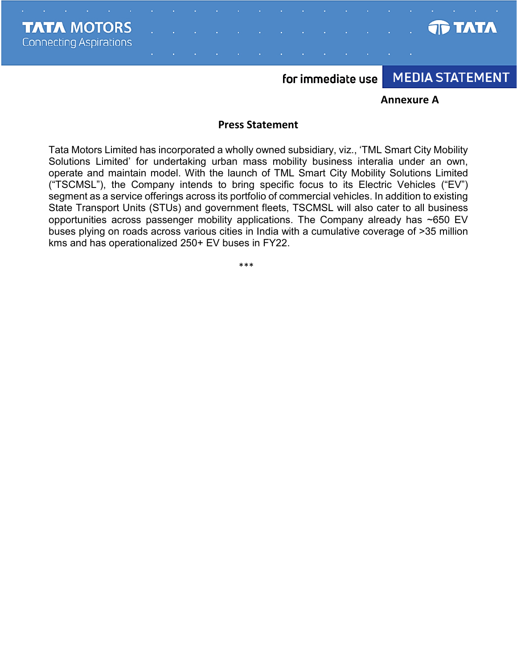**TATA MOTORS Connecting Aspirations** 



for immediate use

# **MEDIA STATEMENT**

#### **Annexure A**

#### **Press Statement**

Tata Motors Limited has incorporated a wholly owned subsidiary, viz., 'TML Smart City Mobility Solutions Limited' for undertaking urban mass mobility business interalia under an own, operate and maintain model. With the launch of TML Smart City Mobility Solutions Limited ("TSCMSL"), the Company intends to bring specific focus to its Electric Vehicles ("EV") segment as a service offerings across its portfolio of commercial vehicles. In addition to existing State Transport Units (STUs) and government fleets, TSCMSL will also cater to all business opportunities across passenger mobility applications. The Company already has ~650 EV buses plying on roads across various cities in India with a cumulative coverage of >35 million kms and has operationalized 250+ EV buses in FY22.

\*\*\*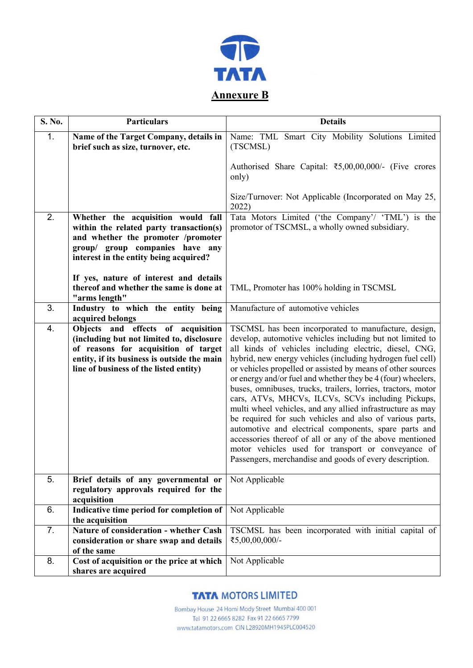

| S. No.           | <b>Particulars</b>                                                                                                                                                                                               | <b>Details</b>                                                                                                                                                                                                                                                                                                                                                                                                                                                                                                                                                                                                                                                                                                                                                                                                                                                |
|------------------|------------------------------------------------------------------------------------------------------------------------------------------------------------------------------------------------------------------|---------------------------------------------------------------------------------------------------------------------------------------------------------------------------------------------------------------------------------------------------------------------------------------------------------------------------------------------------------------------------------------------------------------------------------------------------------------------------------------------------------------------------------------------------------------------------------------------------------------------------------------------------------------------------------------------------------------------------------------------------------------------------------------------------------------------------------------------------------------|
| 1.               | Name of the Target Company, details in<br>brief such as size, turnover, etc.                                                                                                                                     | Name: TML Smart City Mobility Solutions Limited<br>(TSCMSL)                                                                                                                                                                                                                                                                                                                                                                                                                                                                                                                                                                                                                                                                                                                                                                                                   |
|                  |                                                                                                                                                                                                                  | Authorised Share Capital: ₹5,00,00,000/- (Five crores<br>only)                                                                                                                                                                                                                                                                                                                                                                                                                                                                                                                                                                                                                                                                                                                                                                                                |
|                  |                                                                                                                                                                                                                  | Size/Turnover: Not Applicable (Incorporated on May 25,<br>2022)                                                                                                                                                                                                                                                                                                                                                                                                                                                                                                                                                                                                                                                                                                                                                                                               |
| 2.               | Whether the acquisition would fall<br>within the related party transaction(s)<br>and whether the promoter /promoter<br>group/ group companies have any<br>interest in the entity being acquired?                 | Tata Motors Limited ('the Company'/ 'TML') is the<br>promotor of TSCMSL, a wholly owned subsidiary.                                                                                                                                                                                                                                                                                                                                                                                                                                                                                                                                                                                                                                                                                                                                                           |
|                  | If yes, nature of interest and details<br>thereof and whether the same is done at<br>"arms length"                                                                                                               | TML, Promoter has 100% holding in TSCMSL                                                                                                                                                                                                                                                                                                                                                                                                                                                                                                                                                                                                                                                                                                                                                                                                                      |
| 3.               | Industry to which the entity being<br>acquired belongs                                                                                                                                                           | Manufacture of automotive vehicles                                                                                                                                                                                                                                                                                                                                                                                                                                                                                                                                                                                                                                                                                                                                                                                                                            |
| $\overline{4}$ . | Objects and effects of acquisition<br>(including but not limited to, disclosure<br>of reasons for acquisition of target<br>entity, if its business is outside the main<br>line of business of the listed entity) | TSCMSL has been incorporated to manufacture, design,<br>develop, automotive vehicles including but not limited to<br>all kinds of vehicles including electric, diesel, CNG,<br>hybrid, new energy vehicles (including hydrogen fuel cell)<br>or vehicles propelled or assisted by means of other sources<br>or energy and/or fuel and whether they be 4 (four) wheelers,<br>buses, omnibuses, trucks, trailers, lorries, tractors, motor<br>cars, ATVs, MHCVs, ILCVs, SCVs including Pickups,<br>multi wheel vehicles, and any allied infrastructure as may<br>be required for such vehicles and also of various parts,<br>automotive and electrical components, spare parts and<br>accessories thereof of all or any of the above mentioned<br>motor vehicles used for transport or conveyance of<br>Passengers, merchandise and goods of every description. |
| 5.               | Brief details of any governmental or<br>regulatory approvals required for the<br>acquisition                                                                                                                     | Not Applicable                                                                                                                                                                                                                                                                                                                                                                                                                                                                                                                                                                                                                                                                                                                                                                                                                                                |
| 6.               | Indicative time period for completion of<br>the acquisition                                                                                                                                                      | Not Applicable                                                                                                                                                                                                                                                                                                                                                                                                                                                                                                                                                                                                                                                                                                                                                                                                                                                |
| 7.               | Nature of consideration - whether Cash<br>consideration or share swap and details<br>of the same                                                                                                                 | TSCMSL has been incorporated with initial capital of<br>₹5,00,00,000/-                                                                                                                                                                                                                                                                                                                                                                                                                                                                                                                                                                                                                                                                                                                                                                                        |
| 8.               | Cost of acquisition or the price at which<br>shares are acquired                                                                                                                                                 | Not Applicable                                                                                                                                                                                                                                                                                                                                                                                                                                                                                                                                                                                                                                                                                                                                                                                                                                                |

### **TATA MOTORS LIMITED**